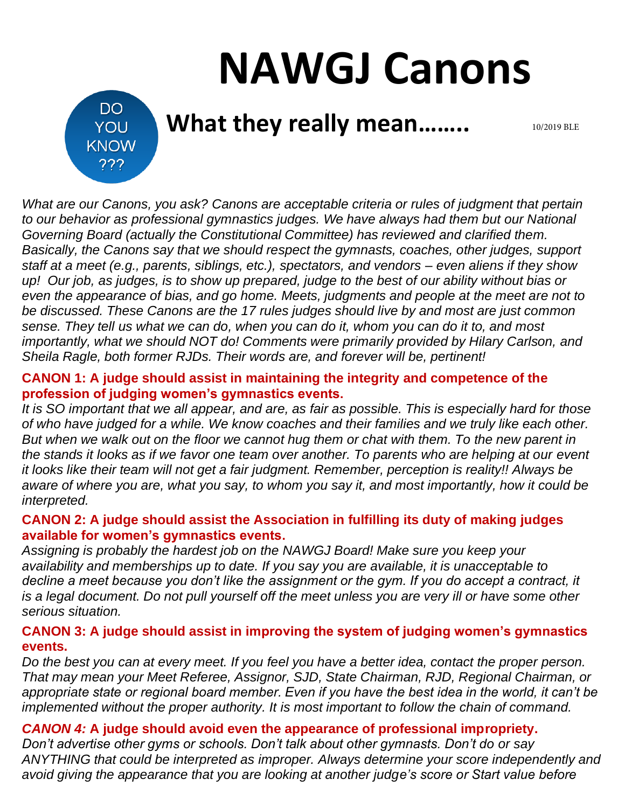# **NAWGJ Canons**

DO. YOU **KNOW** ???

# **What they really mean……..**

10/2019 BLE

*What are our Canons, you ask? Canons are acceptable criteria or rules of judgment that pertain to our behavior as professional gymnastics judges. We have always had them but our National Governing Board (actually the Constitutional Committee) has reviewed and clarified them. Basically, the Canons say that we should respect the gymnasts, coaches, other judges, support staff at a meet (e.g., parents, siblings, etc.), spectators, and vendors – even aliens if they show up! Our job, as judges, is to show up prepared, judge to the best of our ability without bias or even the appearance of bias, and go home. Meets, judgments and people at the meet are not to be discussed. These Canons are the 17 rules judges should live by and most are just common sense. They tell us what we can do, when you can do it, whom you can do it to, and most importantly, what we should NOT do! Comments were primarily provided by Hilary Carlson, and Sheila Ragle, both former RJDs. Their words are, and forever will be, pertinent!*

# **CANON 1: A judge should assist in maintaining the integrity and competence of the profession of judging women's gymnastics events.**

*It is SO important that we all appear, and are, as fair as possible. This is especially hard for those of who have judged for a while. We know coaches and their families and we truly like each other. But when we walk out on the floor we cannot hug them or chat with them. To the new parent in the stands it looks as if we favor one team over another. To parents who are helping at our event it looks like their team will not get a fair judgment. Remember, perception is reality!! Always be aware of where you are, what you say, to whom you say it, and most importantly, how it could be interpreted.*

# **CANON 2: A judge should assist the Association in fulfilling its duty of making judges available for women's gymnastics events.**

*Assigning is probably the hardest job on the NAWGJ Board! Make sure you keep your availability and memberships up to date. If you say you are available, it is unacceptable to decline a meet because you don't like the assignment or the gym. If you do accept a contract, it is a legal document. Do not pull yourself off the meet unless you are very ill or have some other serious situation.*

# **CANON 3: A judge should assist in improving the system of judging women's gymnastics events.**

*Do the best you can at every meet. If you feel you have a better idea, contact the proper person. That may mean your Meet Referee, Assignor, SJD, State Chairman, RJD, Regional Chairman, or appropriate state or regional board member. Even if you have the best idea in the world, it can't be implemented without the proper authority. It is most important to follow the chain of command.*

# *CANON 4:* **A judge should avoid even the appearance of professional impropriety.**

*Don't advertise other gyms or schools. Don't talk about other gymnasts. Don't do or say ANYTHING that could be interpreted as improper. Always determine your score independently and avoid giving the appearance that you are looking at another judge's score or Start value before*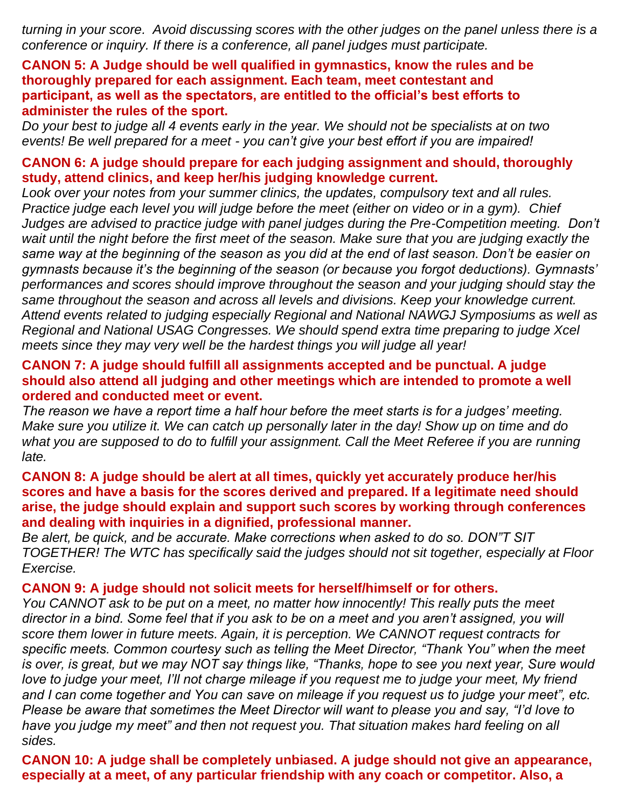*turning in your score. Avoid discussing scores with the other judges on the panel unless there is a conference or inquiry. If there is a conference, all panel judges must participate.*

# **CANON 5: A Judge should be well qualified in gymnastics, know the rules and be thoroughly prepared for each assignment. Each team, meet contestant and participant, as well as the spectators, are entitled to the official's best efforts to administer the rules of the sport.**

*Do your best to judge all 4 events early in the year. We should not be specialists at on two events! Be well prepared for a meet - you can't give your best effort if you are impaired!* 

# **CANON 6: A judge should prepare for each judging assignment and should, thoroughly study, attend clinics, and keep her/his judging knowledge current.**

*Look over your notes from your summer clinics, the updates, compulsory text and all rules. Practice judge each level you will judge before the meet (either on video or in a gym). Chief Judges are advised to practice judge with panel judges during the Pre-Competition meeting. Don't*  wait until the night before the first meet of the season. Make sure that you are judging exactly the *same way at the beginning of the season as you did at the end of last season. Don't be easier on gymnasts because it's the beginning of the season (or because you forgot deductions). Gymnasts' performances and scores should improve throughout the season and your judging should stay the same throughout the season and across all levels and divisions. Keep your knowledge current. Attend events related to judging especially Regional and National NAWGJ Symposiums as well as Regional and National USAG Congresses. We should spend extra time preparing to judge Xcel meets since they may very well be the hardest things you will judge all year!*

# **CANON 7: A judge should fulfill all assignments accepted and be punctual. A judge should also attend all judging and other meetings which are intended to promote a well ordered and conducted meet or event.**

*The reason we have a report time a half hour before the meet starts is for a judges' meeting. Make sure you utilize it. We can catch up personally later in the day! Show up on time and do what you are supposed to do to fulfill your assignment. Call the Meet Referee if you are running late.*

#### **CANON 8: A judge should be alert at all times, quickly yet accurately produce her/his scores and have a basis for the scores derived and prepared. If a legitimate need should arise, the judge should explain and support such scores by working through conferences and dealing with inquiries in a dignified, professional manner.**

*Be alert, be quick, and be accurate. Make corrections when asked to do so. DON"T SIT TOGETHER! The WTC has specifically said the judges should not sit together, especially at Floor Exercise.*

#### **CANON 9: A judge should not solicit meets for herself/himself or for others.**

*You CANNOT ask to be put on a meet, no matter how innocently! This really puts the meet director in a bind. Some feel that if you ask to be on a meet and you aren't assigned, you will score them lower in future meets. Again, it is perception. We CANNOT request contracts for specific meets. Common courtesy such as telling the Meet Director, "Thank You" when the meet is over, is great, but we may NOT say things like, "Thanks, hope to see you next year, Sure would love to judge your meet, I'll not charge mileage if you request me to judge your meet, My friend and I can come together and You can save on mileage if you request us to judge your meet", etc. Please be aware that sometimes the Meet Director will want to please you and say, "I'd love to have you judge my meet" and then not request you. That situation makes hard feeling on all sides.*

**CANON 10: A judge shall be completely unbiased. A judge should not give an appearance, especially at a meet, of any particular friendship with any coach or competitor. Also, a**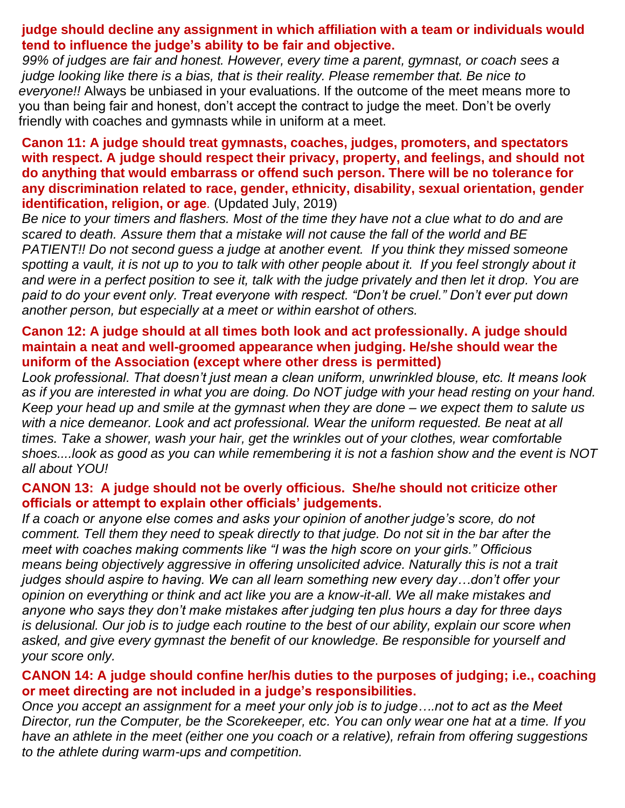# **judge should decline any assignment in which affiliation with a team or individuals would tend to influence the judge's ability to be fair and objective.**

*99% of judges are fair and honest. However, every time a parent, gymnast, or coach sees a judge looking like there is a bias, that is their reality. Please remember that. Be nice to everyone!!* Always be unbiased in your evaluations. If the outcome of the meet means more to you than being fair and honest, don't accept the contract to judge the meet. Don't be overly friendly with coaches and gymnasts while in uniform at a meet.

#### **Canon 11: A judge should treat gymnasts, coaches, judges, promoters, and spectators with respect. A judge should respect their privacy, property, and feelings, and should not do anything that would embarrass or offend such person. There will be no tolerance for any discrimination related to race, gender, ethnicity, disability, sexual orientation, gender identification, religion, or age***.* (Updated July, 2019)

*Be nice to your timers and flashers. Most of the time they have not a clue what to do and are scared to death. Assure them that a mistake will not cause the fall of the world and BE PATIENT!! Do not second guess a judge at another event. If you think they missed someone*  spotting a vault, it is not up to you to talk with other people about it. If you feel strongly about it *and were in a perfect position to see it, talk with the judge privately and then let it drop. You are paid to do your event only. Treat everyone with respect. "Don't be cruel." Don't ever put down another person, but especially at a meet or within earshot of others.*

# **Canon 12: A judge should at all times both look and act professionally. A judge should maintain a neat and well-groomed appearance when judging. He/she should wear the uniform of the Association (except where other dress is permitted)**

*Look professional. That doesn't just mean a clean uniform, unwrinkled blouse, etc. It means look as if you are interested in what you are doing. Do NOT judge with your head resting on your hand. Keep your head up and smile at the gymnast when they are done – we expect them to salute us*  with a nice demeanor. Look and act professional. Wear the uniform requested. Be neat at all *times. Take a shower, wash your hair, get the wrinkles out of your clothes, wear comfortable shoes....look as good as you can while remembering it is not a fashion show and the event is NOT all about YOU!*

# **CANON 13: A judge should not be overly officious. She/he should not criticize other officials or attempt to explain other officials' judgements.**

*If a coach or anyone else comes and asks your opinion of another judge's score, do not comment. Tell them they need to speak directly to that judge. Do not sit in the bar after the meet with coaches making comments like "I was the high score on your girls." Officious means being objectively aggressive in offering unsolicited advice. Naturally this is not a trait judges should aspire to having. We can all learn something new every day…don't offer your opinion on everything or think and act like you are a know-it-all. We all make mistakes and anyone who says they don't make mistakes after judging ten plus hours a day for three days is delusional. Our job is to judge each routine to the best of our ability, explain our score when asked, and give every gymnast the benefit of our knowledge. Be responsible for yourself and your score only.*

# **CANON 14: A judge should confine her/his duties to the purposes of judging; i.e., coaching or meet directing are not included in a judge's responsibilities.**

*Once you accept an assignment for a meet your only job is to judge….not to act as the Meet Director, run the Computer, be the Scorekeeper, etc. You can only wear one hat at a time. If you have an athlete in the meet (either one you coach or a relative), refrain from offering suggestions to the athlete during warm-ups and competition.*